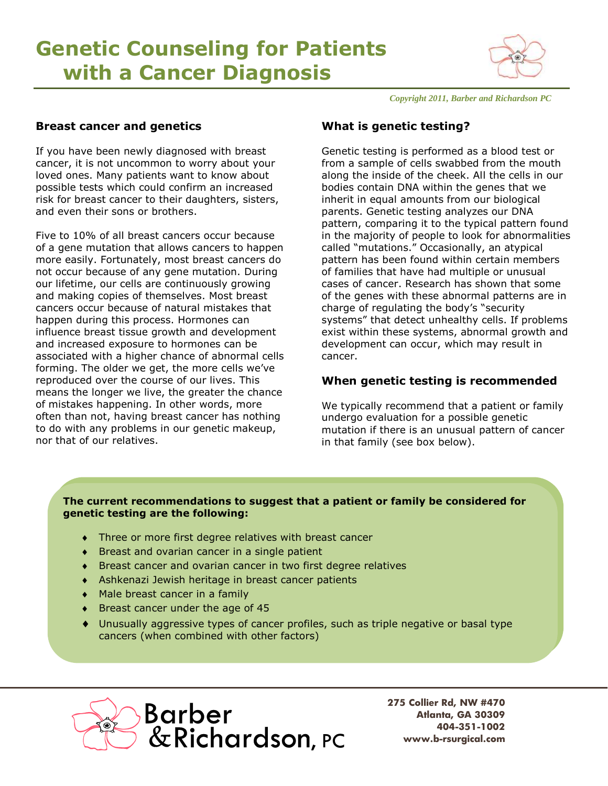# **Genetic Counseling for Patients with a Cancer Diagnosis**



*Copyright 2011, Barber and Richardson PC*

## **Breast cancer and genetics**

If you have been newly diagnosed with breast cancer, it is not uncommon to worry about your loved ones. Many patients want to know about possible tests which could confirm an increased risk for breast cancer to their daughters, sisters, and even their sons or brothers.

Five to 10% of all breast cancers occur because of a gene mutation that allows cancers to happen more easily. Fortunately, most breast cancers do not occur because of any gene mutation. During our lifetime, our cells are continuously growing and making copies of themselves. Most breast cancers occur because of natural mistakes that happen during this process. Hormones can influence breast tissue growth and development and increased exposure to hormones can be associated with a higher chance of abnormal cells forming. The older we get, the more cells we've reproduced over the course of our lives. This means the longer we live, the greater the chance of mistakes happening. In other words, more often than not, having breast cancer has nothing to do with any problems in our genetic makeup, nor that of our relatives.

# **What is genetic testing?**

Genetic testing is performed as a blood test or from a sample of cells swabbed from the mouth along the inside of the cheek. All the cells in our bodies contain DNA within the genes that we inherit in equal amounts from our biological parents. Genetic testing analyzes our DNA pattern, comparing it to the typical pattern found in the majority of people to look for abnormalities called "mutations." Occasionally, an atypical pattern has been found within certain members of families that have had multiple or unusual cases of cancer. Research has shown that some of the genes with these abnormal patterns are in charge of regulating the body's "security systems" that detect unhealthy cells. If problems exist within these systems, abnormal growth and development can occur, which may result in cancer.

# **When genetic testing is recommended**

We typically recommend that a patient or family undergo evaluation for a possible genetic mutation if there is an unusual pattern of cancer in that family (see box below).

## **The current recommendations to suggest that a patient or family be considered for genetic testing are the following:**

- Three or more first degree relatives with breast cancer
- Breast and ovarian cancer in a single patient
- Breast cancer and ovarian cancer in two first degree relatives
- Ashkenazi Jewish heritage in breast cancer patients
- Male breast cancer in a family
- ◆ Breast cancer under the age of 45
- Unusually aggressive types of cancer profiles, such as triple negative or basal type cancers (when combined with other factors)

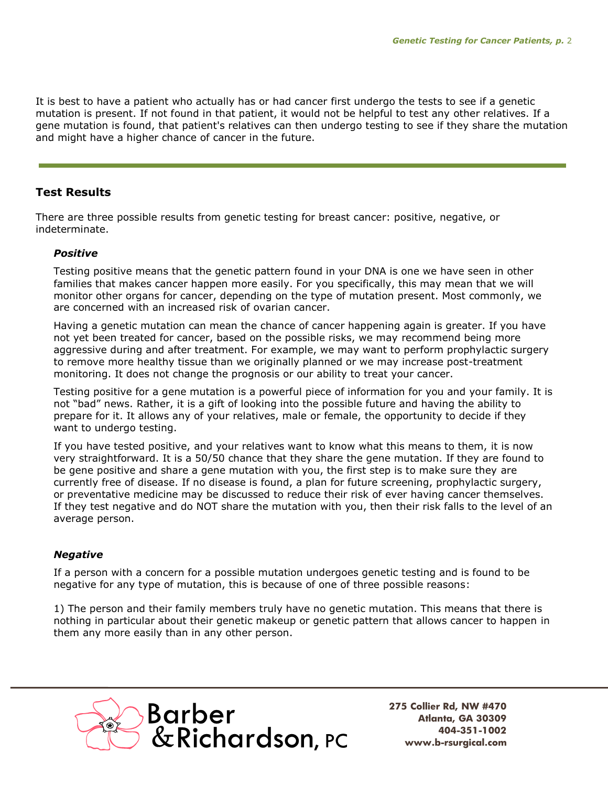It is best to have a patient who actually has or had cancer first undergo the tests to see if a genetic mutation is present. If not found in that patient, it would not be helpful to test any other relatives. If a gene mutation is found, that patient's relatives can then undergo testing to see if they share the mutation and might have a higher chance of cancer in the future.

## **Test Results**

There are three possible results from genetic testing for breast cancer: positive, negative, or indeterminate.

#### *Positive*

Testing positive means that the genetic pattern found in your DNA is one we have seen in other families that makes cancer happen more easily. For you specifically, this may mean that we will monitor other organs for cancer, depending on the type of mutation present. Most commonly, we are concerned with an increased risk of ovarian cancer.

Having a genetic mutation can mean the chance of cancer happening again is greater. If you have not yet been treated for cancer, based on the possible risks, we may recommend being more aggressive during and after treatment. For example, we may want to perform prophylactic surgery to remove more healthy tissue than we originally planned or we may increase post-treatment monitoring. It does not change the prognosis or our ability to treat your cancer.

Testing positive for a gene mutation is a powerful piece of information for you and your family. It is not "bad" news. Rather, it is a gift of looking into the possible future and having the ability to prepare for it. It allows any of your relatives, male or female, the opportunity to decide if they want to undergo testing.

If you have tested positive, and your relatives want to know what this means to them, it is now very straightforward. It is a 50/50 chance that they share the gene mutation. If they are found to be gene positive and share a gene mutation with you, the first step is to make sure they are currently free of disease. If no disease is found, a plan for future screening, prophylactic surgery, or preventative medicine may be discussed to reduce their risk of ever having cancer themselves. If they test negative and do NOT share the mutation with you, then their risk falls to the level of an average person.

## *Negative*

If a person with a concern for a possible mutation undergoes genetic testing and is found to be negative for any type of mutation, this is because of one of three possible reasons:

1) The person and their family members truly have no genetic mutation. This means that there is nothing in particular about their genetic makeup or genetic pattern that allows cancer to happen in them any more easily than in any other person.

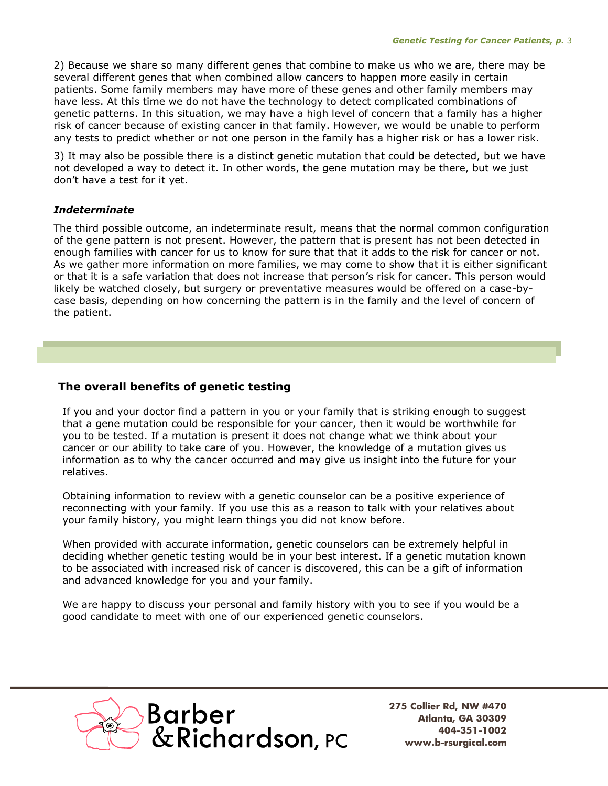2) Because we share so many different genes that combine to make us who we are, there may be several different genes that when combined allow cancers to happen more easily in certain patients. Some family members may have more of these genes and other family members may have less. At this time we do not have the technology to detect complicated combinations of genetic patterns. In this situation, we may have a high level of concern that a family has a higher risk of cancer because of existing cancer in that family. However, we would be unable to perform any tests to predict whether or not one person in the family has a higher risk or has a lower risk.

3) It may also be possible there is a distinct genetic mutation that could be detected, but we have not developed a way to detect it. In other words, the gene mutation may be there, but we just don't have a test for it yet.

## *Indeterminate*

The third possible outcome, an indeterminate result, means that the normal common configuration of the gene pattern is not present. However, the pattern that is present has not been detected in enough families with cancer for us to know for sure that that it adds to the risk for cancer or not. As we gather more information on more families, we may come to show that it is either significant or that it is a safe variation that does not increase that person's risk for cancer. This person would likely be watched closely, but surgery or preventative measures would be offered on a case-bycase basis, depending on how concerning the pattern is in the family and the level of concern of the patient.

# **The overall benefits of genetic testing**

If you and your doctor find a pattern in you or your family that is striking enough to suggest that a gene mutation could be responsible for your cancer, then it would be worthwhile for you to be tested. If a mutation is present it does not change what we think about your cancer or our ability to take care of you. However, the knowledge of a mutation gives us information as to why the cancer occurred and may give us insight into the future for your relatives.

Obtaining information to review with a genetic counselor can be a positive experience of reconnecting with your family. If you use this as a reason to talk with your relatives about your family history, you might learn things you did not know before.

When provided with accurate information, genetic counselors can be extremely helpful in deciding whether genetic testing would be in your best interest. If a genetic mutation known to be associated with increased risk of cancer is discovered, this can be a gift of information and advanced knowledge for you and your family.

We are happy to discuss your personal and family history with you to see if you would be a good candidate to meet with one of our experienced genetic counselors.